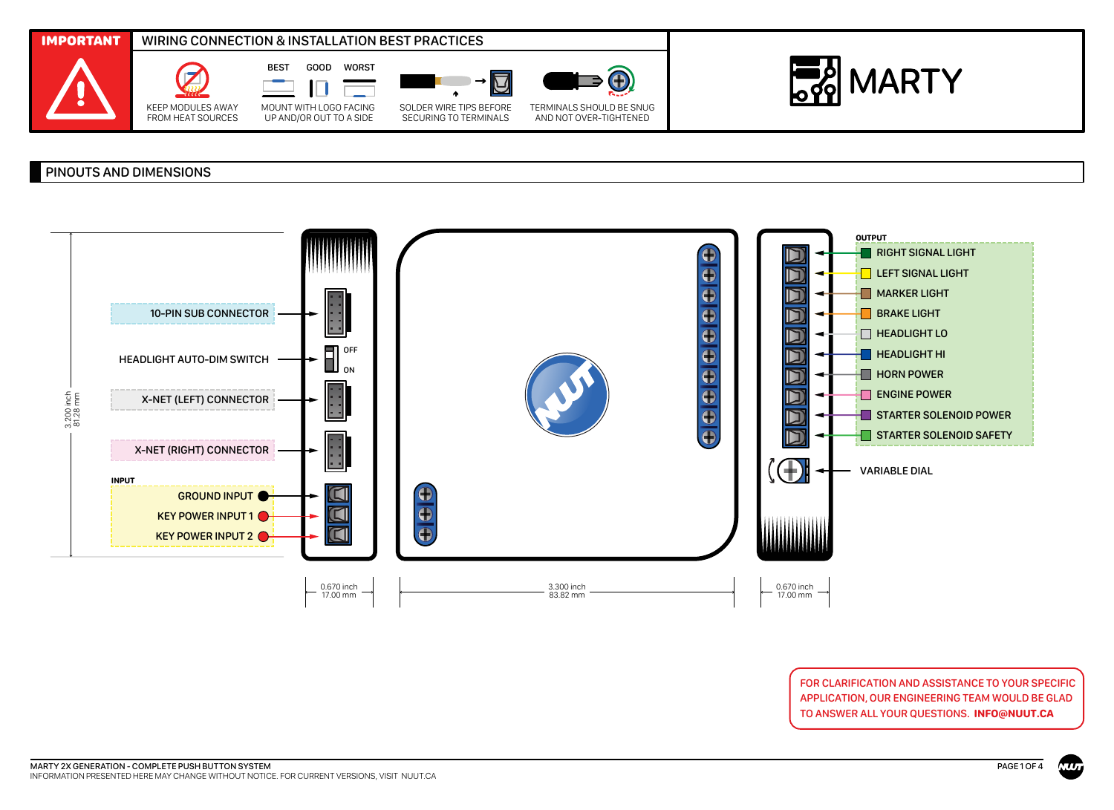

## PINOUTS AND DIMENSIONS



FOR CLARIFICATION AND ASSISTANCE TO YOUR SPECIFIC APPLICATION, OUR ENGINEERING TEAM WOULD BE GLAD TO ANSWER ALL YOUR QUESTIONS. **INFO@NUUT.CA**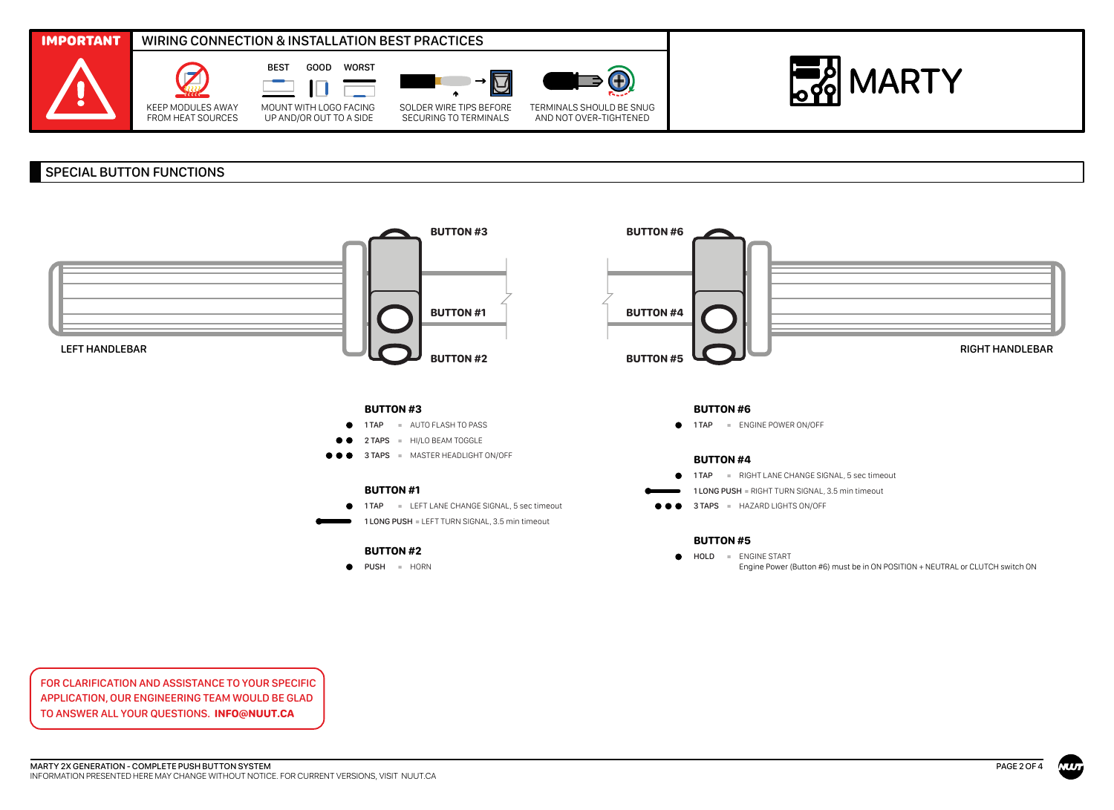

## SPECIAL BUTTON FUNCTIONS



FOR CLARIFICATION AND ASSISTANCE TO YOUR SPECIFIC APPLICATION, OUR ENGINEERING TEAM WOULD BE GLAD TO ANSWER ALL YOUR QUESTIONS. **INFO@NUUT.CA**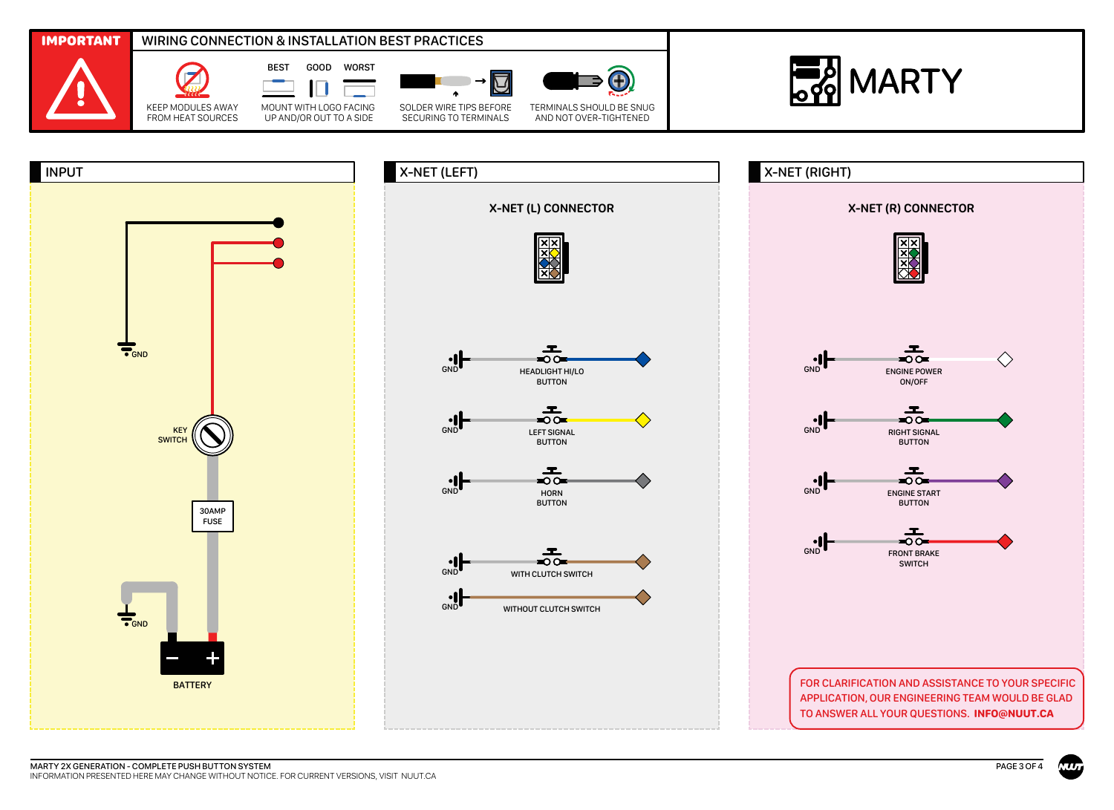